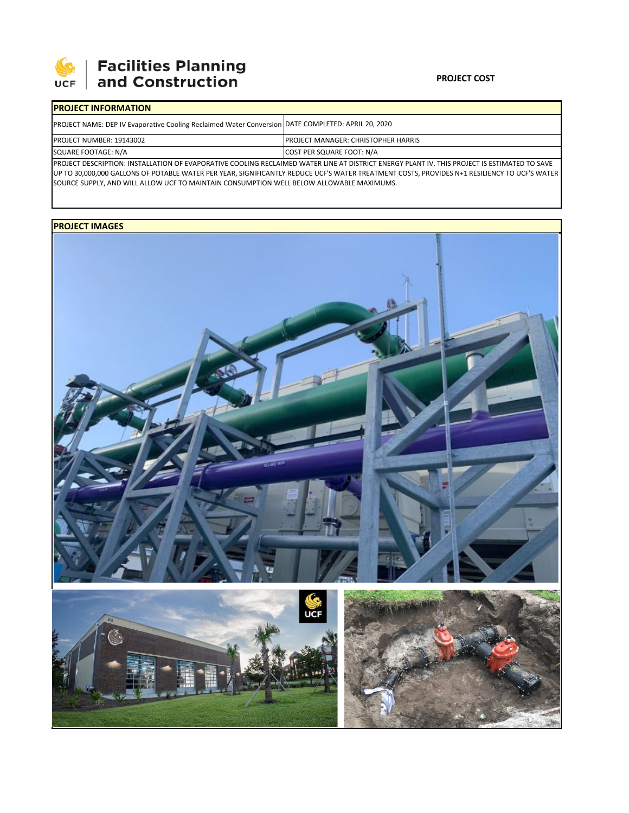

# | Facilities Planning<br>| and Construction

#### **PROJECT COST**

## **PROJECT INFORMATION**

| <b>PROJECT NAME: DEP IV Evaporative Cooling Reclaimed Water Conversion DATE COMPLETED: APRIL 20, 2020</b>                                 |                                             |  |  |  |  |
|-------------------------------------------------------------------------------------------------------------------------------------------|---------------------------------------------|--|--|--|--|
| <b>PROJECT NUMBER: 19143002</b>                                                                                                           | <b>IPROJECT MANAGER: CHRISTOPHER HARRIS</b> |  |  |  |  |
| SQUARE FOOTAGE: N/A                                                                                                                       | COST PER SQUARE FOOT: N/A                   |  |  |  |  |
| PROJECT BECONDEION INCTALLATION OF FULDORATIVE COOLING BEGINNATED WATER LINE AT BICTRICT FUEROUDLANT IN THIS BROJECT IS FSTILATED TO SAME |                                             |  |  |  |  |

PROJECT DESCRIPTION: INSTALLATION OF EVAPORATIVE COOLING RECLAIMED WATER LINE AT DISTRICT ENERGY PLANT IV. THIS PROJECT IS ESTIMATED TO SAVE UP TO 30,000,000 GALLONS OF POTABLE WATER PER YEAR, SIGNIFICANTLY REDUCE UCF'S WATER TREATMENT COSTS, PROVIDES N+1 RESILIENCY TO UCF'S WATER SOURCE SUPPLY, AND WILL ALLOW UCF TO MAINTAIN CONSUMPTION WELL BELOW ALLOWABLE MAXIMUMS.

### **PROJECT IMAGES**